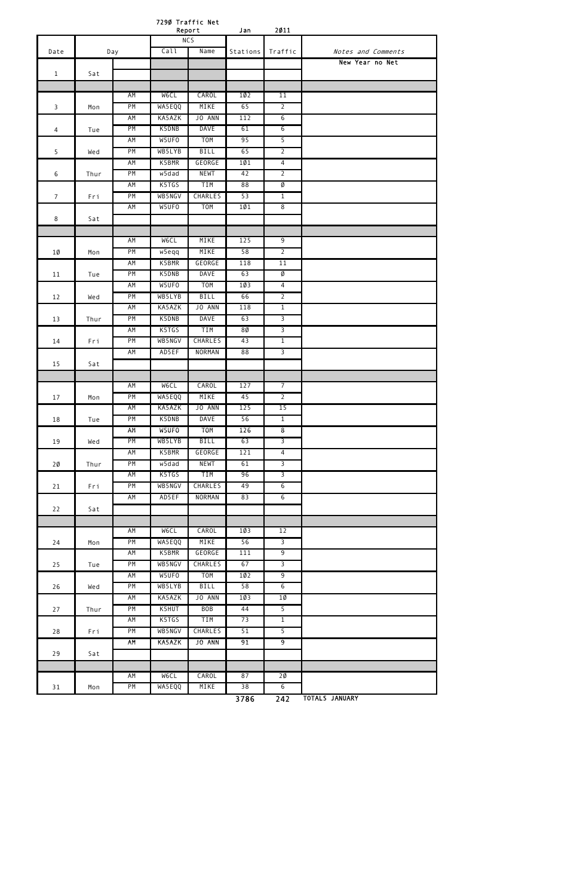|                         |      |                 |                  | 7290 Traffic Net<br>Report | Jan             | 2011                             |                       |
|-------------------------|------|-----------------|------------------|----------------------------|-----------------|----------------------------------|-----------------------|
| Date                    |      | Day             |                  | <b>NCS</b><br>Call<br>Name |                 | Traffic                          | Notes and Comments    |
|                         |      |                 |                  |                            | Stations        |                                  | New Year no Net       |
| $\mathbf{1}$            | Sat  |                 |                  |                            |                 |                                  |                       |
|                         |      |                 |                  |                            |                 |                                  |                       |
|                         |      | ΑM              | <b>WeCL</b>      | CAROL                      | 10 <sub>2</sub> | 11                               |                       |
| $\overline{\mathbf{3}}$ | Mon  | PM              | WA5EQQ           | MIKE                       | 65              | $\overline{2}$                   |                       |
|                         |      | AM              | KA5AZK           | JO ANN                     | 112             | $6\overline{6}$                  |                       |
| $\overline{4}$          | Tue  | PM              | K5DNB            | <b>DAVE</b>                | 61              | $\overline{6}$                   |                       |
|                         |      | AM              | W5UF0            | T <sub>0</sub> M           | 95              | $\overline{5}$                   |                       |
| 5                       | Wed  | PM              | WB5LYB           | <b>BILL</b>                | 65              | $\overline{2}$                   |                       |
|                         |      | AM              | K5BMR            | GEORGE                     | 101             | $\overline{4}$                   |                       |
| 6                       | Thur | PM              | w5dad            | <b>NEWT</b>                | 42              | $\overline{2}$                   |                       |
|                         |      | <b>AM</b>       | K5TGS            | <b>TIM</b>                 | 88              | Ø                                |                       |
| $7\overline{ }$         | Fri  | PM              | WB5NGV           | <b>CHARLES</b>             | 53              | $\overline{1}$                   |                       |
|                         |      | AM              | W5UF0            | T <sub>O</sub> M           | 101             | $\overline{8}$                   |                       |
| 8                       | Sat  |                 |                  |                            |                 |                                  |                       |
|                         |      |                 |                  |                            |                 |                                  |                       |
|                         |      | AM<br>PM        | W6CL             | MIKE<br>MIKE               | 125<br>58       | $\overline{9}$<br>$\overline{2}$ |                       |
| 1Ø                      | Mon  | AM              | w5eqq<br>K5BMR   | GEORGE                     | 118             | 11                               |                       |
| 11                      | Tue  | PM              | K5DNB            | <b>DAVE</b>                | 63              | Ø                                |                       |
|                         |      | AM              | W5UFO            | <b>TOM</b>                 | 10 <sub>3</sub> | $\overline{4}$                   |                       |
| 12                      | Wed  | PM              | WB5LYB           | BILL                       | 66              | $\overline{2}$                   |                       |
|                         |      | <b>AM</b>       | KA5AZK           | JO ANN                     | 118             | $\overline{1}$                   |                       |
| 13                      | Thur | PM              | K5DNB            | <b>DAVE</b>                | 63              | $\overline{3}$                   |                       |
|                         |      | <b>AM</b>       | K5TGS            | <b>TIM</b>                 | 80              | $\overline{3}$                   |                       |
| 14                      | Fri  | PM              | WB5NGV           | <b>CHARLES</b>             | 43              | $\mathbf{1}$                     |                       |
|                         |      | AM              | AD5EF            | <b>NORMAN</b>              | 88              | $\overline{3}$                   |                       |
| 15                      | Sat  |                 |                  |                            |                 |                                  |                       |
|                         |      |                 |                  |                            |                 |                                  |                       |
|                         |      | AM              | <b>MeCL</b>      | CAROL                      | 127             | $\overline{7}$                   |                       |
| 17                      | Mon  | PM              | WA5EQQ           | MIKE                       | 45              | $\overline{2}$                   |                       |
|                         |      | AM              | KA5AZK           | JO ANN                     | 125             | 15                               |                       |
| 18                      | Tue  | PM              | K5DNB            | <b>DAVE</b>                | 56              | $\overline{1}$                   |                       |
|                         |      | AM              | W5UFO            | <b>TOM</b>                 | 126             | $\overline{\boldsymbol{\delta}}$ |                       |
| 19                      | Wed  | PM<br><b>AM</b> | WB5LYB<br>K5BMR  | <b>BILL</b><br>GEORGE      | 63<br>121       | $\overline{3}$<br>$\overline{4}$ |                       |
| 2Ø                      | Thur | PM              | w5dad            | <b>NEWT</b>                | 61              | $\overline{3}$                   |                       |
|                         |      | AM              | K5TGS            | TIM                        | 96              | $\overline{3}$                   |                       |
| 21                      | Fri  | PM              | WB5NGV           | <b>CHARLES</b>             | 49              | $6\overline{6}$                  |                       |
|                         |      | AM              | AD5EF            | NORMAN                     | 83              | $\overline{6}$                   |                       |
| 22                      | Sat  |                 |                  |                            |                 |                                  |                       |
|                         |      |                 |                  |                            |                 |                                  |                       |
|                         |      | AM              | <b>MeCL</b>      | CAROL                      | 103             | 12                               |                       |
| 24                      | Mon  | PM              | WA5EQQ           | MIKE                       | 56              | $\overline{3}$                   |                       |
|                         |      | AM              | K5BMR            | GEORGE                     | 111             | $\overline{9}$                   |                       |
| 25                      | Tue  | PM              | WB5NGV           | <b>CHARLES</b>             | 67              | $\overline{3}$                   |                       |
|                         |      | AM              | W5UF0            | <b>TOM</b>                 | 102             | 9                                |                       |
| 26                      | Wed  | PM              | WB5LYB           | <b>BILL</b>                | 58              | $6\overline{6}$                  |                       |
|                         |      | AM              | KA5AZK           | JO ANN                     | 10 <sub>3</sub> | $10 \,$                          |                       |
| 27                      | Thur | PM              | K5HUT            | <b>BOB</b>                 | 44              | 5                                |                       |
|                         |      | AM              | K5TGS            | TIM                        | 73              | $\overline{1}$                   |                       |
| 28                      | Fri  | PM<br>AM        | WB5NGV<br>KA5AZK | <b>CHARLES</b><br>JO ANN   | 51<br>91        | $\overline{5}$<br>$\overline{9}$ |                       |
| 29                      | Sat  |                 |                  |                            |                 |                                  |                       |
|                         |      |                 |                  |                            |                 |                                  |                       |
|                         |      | ΑM              | W6CL             | CAROL                      | 87              | 2Ø                               |                       |
| $31\,$                  | Mon  | PM              | WA5EQQ           | MIKE                       | 38              | $6\phantom{a}$                   |                       |
|                         |      |                 |                  |                            | 3786            | 242                              | <b>TOTALS JANUARY</b> |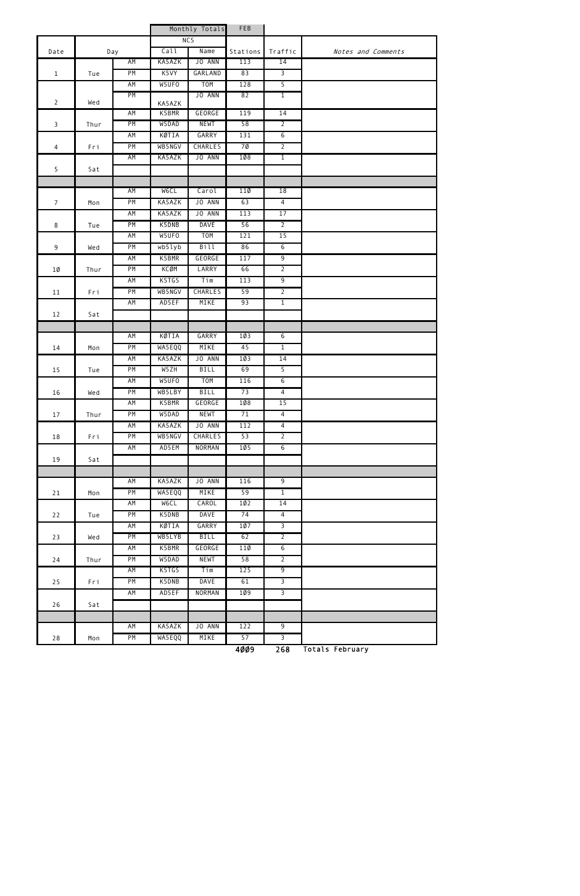|                         |      |           |                   | Monthly Totals       | FEB                                                         |                                  |                    |
|-------------------------|------|-----------|-------------------|----------------------|-------------------------------------------------------------|----------------------------------|--------------------|
|                         |      |           |                   | NC <sub>5</sub>      |                                                             |                                  |                    |
| Date                    |      | Day       | Call              | Name                 | Stations                                                    | Traffic                          | Notes and Comments |
|                         |      | AM        | KA5AZK            | JO ANN               | 113                                                         | 14                               |                    |
| $\mathbf{1}$            | Tue  | PM        | K5VY              | GARLAND              | 83                                                          | $\overline{3}$                   |                    |
|                         |      | AM        | W5UF0             | <b>TOM</b>           | 128                                                         | 5                                |                    |
| $\overline{2}$          | Wed  | PM        | KA5AZK            | JO ANN               | 82                                                          | $\overline{1}$                   |                    |
|                         |      | AM        | K5BMR             | GEORGE               | 119                                                         | 14                               |                    |
| $\overline{\mathbf{3}}$ | Thur | PM        | W5DAD             | <b>NEWT</b>          | 58                                                          | $\overline{2}$                   |                    |
|                         |      | AM        | KØTIA             | GARRY                | 131                                                         | 6                                |                    |
| 4                       | Fri  | PM        | WB5NGV            | <b>CHARLES</b>       | 7Ø                                                          | $\overline{2}$                   |                    |
|                         |      | AM        | KA5AZK            | JO ANN               | 108                                                         | $\overline{1}$                   |                    |
| 5                       | Sat  |           |                   |                      |                                                             |                                  |                    |
|                         |      |           |                   |                      |                                                             |                                  |                    |
|                         |      | AM        | <b>WeCL</b>       | Carol                | 110                                                         | 18                               |                    |
| $\overline{7}$          | Mon  | PM        | KA5AZK            | JO ANN               | 63                                                          | $\overline{4}$                   |                    |
|                         |      | AM        | KA5AZK            | JO ANN               | 113                                                         | 17                               |                    |
| 8                       | Tue  | PM        | K5DNB             | <b>DAVE</b>          | 56                                                          | $\overline{2}$                   |                    |
|                         |      | <b>AM</b> | W5UF0             | <b>TOM</b>           | 121                                                         | 15                               |                    |
| 9                       | Wed  | PM        | wb5lyb            | Bill                 | 86                                                          | $6\overline{6}$                  |                    |
|                         |      | AM        | K5BMR             | GEORGE               | 117                                                         | $\overline{9}$                   |                    |
| $1\emptyset$            | Thur | PM        | KCØM              | LARRY                | 66                                                          | $\overline{2}$                   |                    |
|                         |      | AM        | K5TGS             | Tim                  | 113                                                         | $\overline{9}$                   |                    |
| 11                      | Fri  | PM        | WB5NGV            | <b>CHARLES</b>       | 59                                                          | $\overline{2}$                   |                    |
|                         |      | AM        | AD5EF             | MIKE                 | 93                                                          | $\overline{1}$                   |                    |
| 12                      | Sat  |           |                   |                      |                                                             |                                  |                    |
|                         |      |           |                   |                      |                                                             |                                  |                    |
|                         |      | AM        | KØTIA             | GARRY                | 10 <sub>3</sub>                                             | $6\overline{6}$                  |                    |
| 14                      | Mon  | PM        | WA5EQQ            | MIKE                 | 45                                                          | $\mathbf 1$                      |                    |
|                         |      | AM        | KA5AZK            | JO ANN               | 10 <sub>3</sub>                                             | 14                               |                    |
| 15                      | Tue  | PM        | W <sub>5</sub> ZH | <b>BILL</b>          | 69                                                          | $\overline{5}$                   |                    |
|                         |      | AM        | W5UFO             | <b>TOM</b>           | 116                                                         | $6\overline{6}$                  |                    |
| 16                      | Wed  | PM        | WB5LBY            | <b>BILL</b>          | 73                                                          | $\overline{4}$                   |                    |
|                         |      | AM        | K5BMR             | <b>GEORGE</b>        | 108                                                         | 15                               |                    |
| 17                      | Thur | PM        | W5DAD             | <b>NEWT</b>          | 71                                                          | $\overline{4}$                   |                    |
|                         |      | AM        | KA5AZK            | JO ANN               | 112                                                         | $\overline{4}$                   |                    |
| 18                      | Fri  | PM        | WB5NGV            | <b>CHARLES</b>       | 53                                                          | $\overline{2}$                   |                    |
|                         |      | AM        | AD5EM             | NORMAN               | 105                                                         | 6                                |                    |
| 19                      | Sat  |           |                   |                      |                                                             |                                  |                    |
|                         |      |           |                   |                      |                                                             |                                  |                    |
|                         |      | AM        | KA5AZK            | JO ANN               | 116                                                         | $\overline{9}$                   |                    |
| 21                      | Mon  | PM        | WA5EQQ            | MIKE                 | 59                                                          | $\overline{1}$                   |                    |
|                         |      | AM        | <b>MeCL</b>       | CAROL                | 102                                                         | 14                               |                    |
| 22                      | Tue  | PM<br>AM  | K5DNB             | <b>DAVE</b><br>GARRY | 74                                                          | $\overline{4}$<br>$\overline{3}$ |                    |
|                         |      | PM        | KØTIA<br>WB5LYB   | <b>BILL</b>          | 107<br>62                                                   | $\overline{2}$                   |                    |
| 23                      | Wed  | AM        | K5BMR             | <b>GEORGE</b>        | 110                                                         | $6\overline{6}$                  |                    |
|                         |      | PM        | W5DAD             | <b>NEWT</b>          | 58                                                          | $\overline{2}$                   |                    |
| 24                      | Thur | AM        | K5TGS             | Tim                  | 125                                                         | $\overline{9}$                   |                    |
| 25                      | Fri  | PM        | K5DNB             | <b>DAVE</b>          | 61                                                          | $\overline{3}$                   |                    |
|                         |      | AM        | AD5EF             | <b>NORMAN</b>        | 109                                                         | $\overline{3}$                   |                    |
| 26                      | Sat  |           |                   |                      |                                                             |                                  |                    |
|                         |      |           |                   |                      |                                                             |                                  |                    |
|                         |      | AM        | KA5AZK            | JO ANN               | 122                                                         | $\overline{9}$                   |                    |
| 28                      | Mon  | PM        | WA5EQQ            | MIKE                 | 57                                                          | $\overline{3}$                   |                    |
|                         |      |           |                   |                      | $\overline{A}$ $\overline{A}$ $\overline{A}$ $\overline{A}$ | $rac{1}{2}$                      | Totale Cohrusey    |

4009 268 Totals February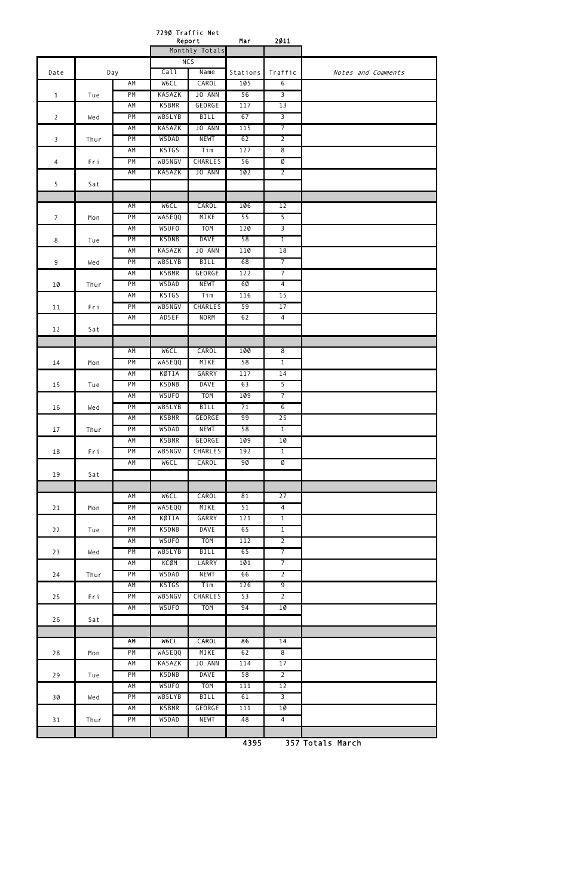|                 |      |     | 7290 Traffic Net<br>Report    |                  | Mar      | 2011            |                    |
|-----------------|------|-----|-------------------------------|------------------|----------|-----------------|--------------------|
|                 |      |     |                               | Monthly Totals   |          |                 |                    |
|                 |      |     |                               | $\overline{NCS}$ |          |                 |                    |
| Date            |      | Day | Call                          | Name             | Stations | Traffic         | Notes and Comments |
|                 |      | AM  | <b>W6CL</b>                   | CAROL            | 105      | 6               |                    |
| $\mathbf{1}$    | Tue  | PM  | KA5AZK                        | JO ANN           | 56       | $\overline{3}$  |                    |
|                 |      | AM  | K5BMR                         | GEORGE           | 117      | 13              |                    |
| $\overline{2}$  | Wed  | PM  | WB5LYB                        | <b>BILL</b>      | 67       | $\overline{3}$  |                    |
|                 |      | AM  | KA5AZK                        | JO ANN           | 115      | $\overline{7}$  |                    |
| 3               | Thur | PM  | W5DAD                         | <b>NEWT</b>      | 62       | $\overline{2}$  |                    |
|                 |      | AM  | K5TGS                         | Tim              | 127      | $\overline{8}$  |                    |
| 4               | Fri  | PM  | WB5NGV                        | <b>CHARLES</b>   | 56       | Ø               |                    |
|                 |      | AM  | KA5AZK                        | JO ANN           | 102      | $\overline{2}$  |                    |
| 5               | Sat  |     |                               |                  |          |                 |                    |
|                 |      |     |                               |                  |          |                 |                    |
|                 |      | AM  | <b>MeCL</b>                   | CAROL            | 1Ø6      | 12              |                    |
| $7\overline{ }$ | Mon  | PM  | WA5EQQ                        | MIKE             | 55       | 5               |                    |
|                 |      | AM  | W5UFO                         | <b>TOM</b>       | $12\%$   | $\overline{3}$  |                    |
| 8               | Tue  | PM  | K5DNB                         | <b>DAVE</b>      | 58       | $\overline{1}$  |                    |
|                 |      | AM  | KA5AZK                        | JO ANN           | 11Ø      | 18              |                    |
| 9               | Wed  | PM  | WB5LYB                        | <b>BILL</b>      | 68       | $\overline{7}$  |                    |
|                 |      | AM  | K5BMR                         | GEORGE           | 122      | $\overline{7}$  |                    |
| 1Ø              | Thur | PM  | W5DAD                         | <b>NEWT</b>      | 60       | $\overline{4}$  |                    |
|                 |      | AM  | K5TGS                         | Tim              | 116      | 15              |                    |
| 11              | Fri  | PM  | WB5NGV                        | <b>CHARLES</b>   | 59       | 17              |                    |
|                 |      | AM  | AD5EF                         | <b>NORM</b>      | 62       | $\overline{4}$  |                    |
| 12              | Sat  |     |                               |                  |          |                 |                    |
|                 |      |     |                               |                  |          |                 |                    |
|                 |      | AM  | <b>WeCL</b>                   | <b>CAROL</b>     | 1ØØ      | $\overline{8}$  |                    |
| 14              | Mon  | PM  | WA5EQQ                        | MIKE             | 58       | $\mathbf{1}$    |                    |
|                 |      | AM  | KØTIA                         | <b>GARRY</b>     | 117      | 14              |                    |
| 15              | Tue  | PM  | K5DNB                         | <b>DAVE</b>      | 63       | 5               |                    |
|                 |      | AM  | W5UF0                         | <b>TOM</b>       | 1Ø9      | $\overline{7}$  |                    |
| 16              | Wed  | PM  | WB5LYB                        | <b>BILL</b>      | 71       | $6\overline{6}$ |                    |
|                 |      | AM  | K5BMR                         | <b>GEORGE</b>    | 99       | 25              |                    |
| 17              | Thur | PM  | W5DAD                         | <b>NEWT</b>      | 58       | $\overline{1}$  |                    |
|                 |      | AM  | K5BMR                         | GEORGE           | 1Ø9      | 1Ø              |                    |
| 18              | Fri  | PM  | WB5NGV                        | <b>CHARLES</b>   | 192      | $\overline{1}$  |                    |
|                 |      | AM  | M <sub>e</sub> C <sub>T</sub> | CAROL            | 9Ø       | Ø               |                    |
| 19              | Sat  |     |                               |                  |          |                 |                    |
|                 |      |     |                               |                  |          |                 |                    |
|                 |      | AM  | <b>MeCL</b>                   | CAROL            | 81       | 27              |                    |
| 21              | Mon  | PM  | WA5EQQ                        | MIKE             | 51       | $\overline{4}$  |                    |
|                 |      | AM  | KØTIA                         | GARRY            | 121      | $\overline{1}$  |                    |
| 22              | Tue  | PM  | K5DNB                         | <b>DAVE</b>      | 65       | $\overline{1}$  |                    |
|                 |      | AM  | W5UF0                         | <b>TOM</b>       | 112      | $\overline{2}$  |                    |
| 23              | Wed  | PM  | WB5LYB                        | <b>BILL</b>      | 65       | $\overline{7}$  |                    |
|                 |      | AM  | <b>KCØM</b>                   | LARRY            | 101      | $\overline{7}$  |                    |
| 24              | Thur | PM  | W5DAD                         | <b>NEWT</b>      | 66       | $\overline{2}$  |                    |
|                 |      | AM  | K5TGS                         | Tim              | 126      | 9               |                    |
| 25              | Fri  | PM  | WB5NGV                        | <b>CHARLES</b>   | 53       | $\overline{2}$  |                    |
|                 |      | AM  | W5UF0                         | T <sub>O</sub> M | 94       | 1Ø              |                    |
| 26              | Sat  |     |                               |                  |          |                 |                    |
|                 |      |     |                               |                  |          |                 |                    |
|                 |      | AM  | M <sub>e</sub> C <sub>F</sub> | CAROL            | 86       | 14              |                    |
| 28              | Mon  | PM  | WA5EQQ                        | MIKE             | 62       | $\overline{8}$  |                    |
|                 |      | AM  | KA5AZK                        | JO ANN           | 114      | 17              |                    |
| 29              | Tue  | PM  | K5DNB                         | <b>DAVE</b>      | 58       | $\overline{2}$  |                    |
|                 |      | AM  | W5UF0                         | <b>TOM</b>       | 111      | 12              |                    |
| 3Ø              | Wed  | PM  | WB5LYB                        | <b>BILL</b>      | 61       | $\overline{3}$  |                    |
|                 |      | AM  | K5BMR                         | <b>GEORGE</b>    | 111      | $10 \,$         |                    |
| 31              | Thur | PM  | W5DAD                         | <b>NEWT</b>      | 48       | $\overline{4}$  |                    |
|                 |      |     |                               |                  |          |                 |                    |
|                 |      |     |                               |                  | 4395     |                 | 357 Totals March   |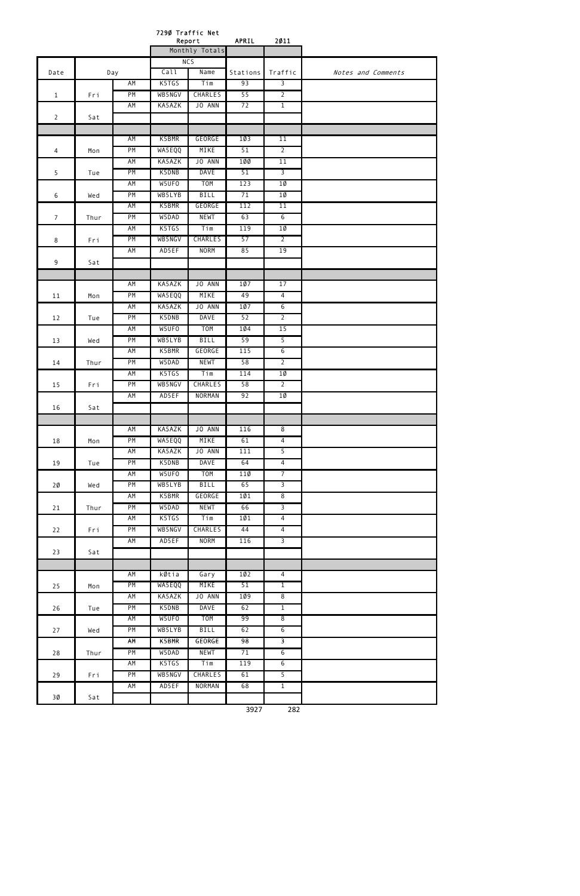|                 |      |           |                 | 7290 Traffic Net<br>Report | APRIL     | 2011                 |                    |
|-----------------|------|-----------|-----------------|----------------------------|-----------|----------------------|--------------------|
|                 |      |           |                 | Monthly Totals             |           |                      |                    |
|                 |      |           |                 | NC <sub>5</sub>            |           |                      |                    |
| Date            |      | Day       | Call            | Name                       | Stations  | Traffic              | Notes and Comments |
|                 |      | AM        | K5TGS           | Tim                        | 93        | 3                    |                    |
| $\mathbf{1}$    | Fri  | PM        | WB5NGV          | <b>CHARLES</b>             | 55        | $\overline{2}$       |                    |
|                 |      | AM        | KA5AZK          | JO ANN                     | 72        | $\overline{1}$       |                    |
| $\overline{2}$  | Sat  |           |                 |                            |           |                      |                    |
|                 |      |           |                 | GEORGE                     |           |                      |                    |
| 4               |      | AM<br>PM  | K5BMR<br>WA5EQQ | MIKE                       | 1Ø3<br>51 | 11<br>$\overline{2}$ |                    |
|                 | Mon  | <b>AM</b> | KA5AZK          | JO ANN                     | 1ØØ       | 11                   |                    |
| 5               | Tue  | PM        | K5DNB           | <b>DAVE</b>                | 51        | $\overline{3}$       |                    |
|                 |      | AM        | W5UF0           | <b>TOM</b>                 | 123       | $1\emptyset$         |                    |
| 6               | Wed  | PM        | WB5LYB          | <b>BILL</b>                | 71        | $1\emptyset$         |                    |
|                 |      | AM        | K5BMR           | GEORGE                     | 112       | 11                   |                    |
| $7\overline{ }$ | Thur | PM        | W5DAD           | <b>NEWT</b>                | 63        | 6                    |                    |
|                 |      | AM        | K5TGS           | Tim                        | 119       | $1\emptyset$         |                    |
| 8               | Fri  | PM        | WB5NGV          | <b>CHARLES</b>             | 57        | $\overline{2}$       |                    |
|                 |      | AM        | AD5EF           | <b>NORM</b>                | 85        | 19                   |                    |
| 9               | Sat  |           |                 |                            |           |                      |                    |
|                 |      |           |                 |                            |           |                      |                    |
|                 |      | AM        | KA5AZK          | JO ANN                     | 1Ø7       | 17                   |                    |
| 11              | Mon  | PM        | WA5EQQ          | MIKE                       | 49        | $\overline{4}$       |                    |
|                 |      | AM        | KA5AZK          | JO ANN                     | 1Ø7       | 6                    |                    |
| 12              | Tue  | PM        | K5DNB           | <b>DAVE</b>                | 52        | $\overline{2}$       |                    |
|                 |      | <b>AM</b> | W5UFO           | T <sub>O</sub> M           | 104       | 15                   |                    |
| 13              | Wed  | PM        | WB5LYB          | <b>BILL</b>                | 59        | 5                    |                    |
|                 |      | AM        | K5BMR           | GEORGE                     | 115       | $\overline{6}$       |                    |
| 14              | Thur | PM        | W5DAD           | <b>NEWT</b>                | 58        | $\overline{2}$       |                    |
|                 |      | AM        | K5TGS           | Tim                        | 114       | 1Ø                   |                    |
| 15              | Fri  | PM        | WB5NGV          | <b>CHARLES</b>             | 58        | $\overline{2}$       |                    |
|                 |      | AM        | AD5EF           | NORMAN                     | 92        | $1\emptyset$         |                    |
| 16              | Sat  |           |                 |                            |           |                      |                    |
|                 |      |           |                 |                            |           |                      |                    |
|                 |      | AM        | KA5AZK          | JO ANN                     | 116       | $\overline{8}$       |                    |
| 18              | Mon  | PM        | WA5EQQ          | MIKE                       | 61        | $\overline{4}$       |                    |
|                 |      | AM        | KA5AZK          | JO ANN                     | 111       | $\overline{5}$       |                    |
| 19              | Tue  | PM        | K5DNB           | <b>DAVE</b>                | 64        | $\overline{4}$       |                    |
|                 |      | AM        | W5UF0           | T <sub>O</sub> M           | 110       | $\overline{7}$       |                    |
| 2Ø              | Wed  | PM        | WB5LYB          | <b>BILL</b>                | 65        | $\overline{3}$       |                    |
|                 |      | AM        | K5BMR           | GEORGE                     | 101       | $\overline{8}$       |                    |
| 21              | Thur | PM        | W5DAD           | <b>NEWT</b>                | 66        | $\overline{3}$       |                    |
|                 |      | AM        | K5TGS           | Tim                        | 101       | $\overline{4}$       |                    |
| 22              | Fri  | PM        | WB5NGV          | <b>CHARLES</b>             | 44        | $\overline{4}$       |                    |
|                 |      | AM        | AD5EF           | <b>NORM</b>                | 116       | $\overline{3}$       |                    |
| 23              | Sat  |           |                 |                            |           |                      |                    |
|                 |      |           |                 |                            |           |                      |                    |
|                 |      | AM        | kØtia           | Gary                       | 102       | $\overline{4}$       |                    |
| 25              | Mon  | PM        | WA5EQQ          | MIKE                       | 51        | $\overline{1}$       |                    |
|                 |      | AM        | KA5AZK          | JO ANN                     | 109       | $\overline{8}$       |                    |
| 26              | Tue  | PM        | K5DNB           | <b>DAVE</b>                | 62        | $\overline{1}$       |                    |
|                 |      | AM        | W5UFO           | <b>TOM</b>                 | 99        | $\overline{8}$       |                    |
| 27              | Wed  | PM        | WB5LYB          | <b>BILL</b>                | 62        | $6\overline{6}$      |                    |
|                 |      | AM        | K5BMR           | GEORGE                     | 98        | $\overline{3}$       |                    |
| $28\,$          | Thur | PM        | W5DAD           | <b>NEWT</b>                | 71        | $\overline{6}$       |                    |

|    |     | AM | K5TGS  | $T\overline{1m}$ | 119                  | ∽<br>u                             |  |
|----|-----|----|--------|------------------|----------------------|------------------------------------|--|
| 29 | Eri | PM | WB5NGV | CHARLES          | 61                   |                                    |  |
|    |     | ΑM | AD5EF  | NORMAN           | 68                   | <b>.</b>                           |  |
| 3Ø | Sat |    |        |                  |                      |                                    |  |
|    |     |    |        |                  | $\sim$ $\sim$ $\sim$ | $\mathbf{a} \mathbf{a} \mathbf{a}$ |  |

3927 282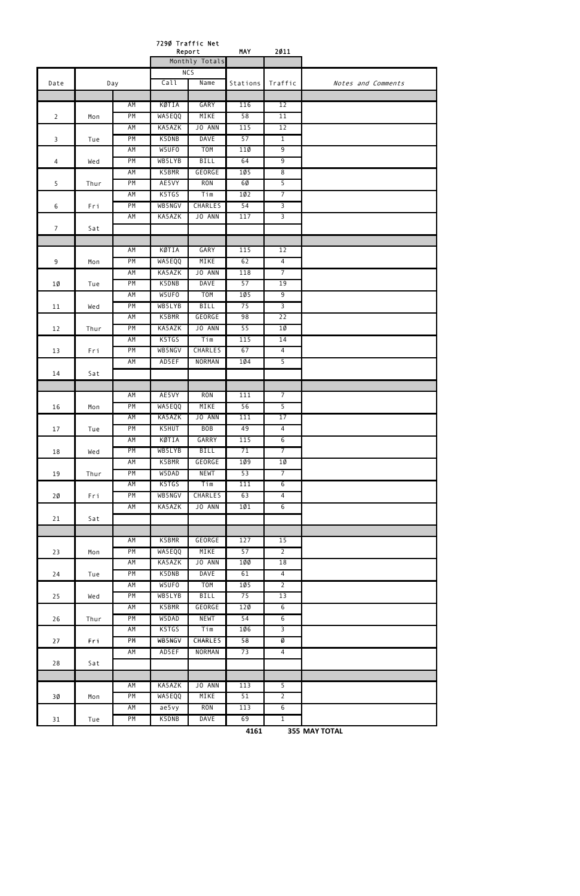|                |      |           | 7290 Traffic Net | Report                          | <b>MAY</b>       | 2011                 |                    |
|----------------|------|-----------|------------------|---------------------------------|------------------|----------------------|--------------------|
|                |      |           |                  | Monthly Totals                  |                  |                      |                    |
|                |      |           |                  | NC5                             |                  |                      |                    |
| Date           |      | Day       | Call             | Name                            | Stations         | Traffic              | Notes and Comments |
|                |      | AM        | KØTIA            | GARY                            | 116              | 12                   |                    |
| 2              | Mon  | PM        | WA5EQQ           | MIKE                            | 58               | 11                   |                    |
|                |      | AM        | KA5AZK           | JO ANN                          | 115              | 12                   |                    |
| 3              | Tue  | PM        | K5DNB            | <b>DAVE</b>                     | 57               | $\mathbf{1}$         |                    |
|                |      | AM        | W5UF0            | <b>TOM</b>                      | 110              | $\overline{9}$       |                    |
| $\overline{4}$ | Wed  | PM        | WB5LYB           | <b>BILL</b>                     | 64               | $\overline{9}$       |                    |
|                |      | <b>AM</b> | K5BMR            | GEORGE                          | 105              | $\overline{\infty}$  |                    |
| 5              | Thur | PM        | AE5VY            | <b>RON</b>                      | 60               | $\overline{5}$       |                    |
|                |      | <b>AM</b> | K5TGS            | Tim                             | 102              | $\overline{7}$       |                    |
| 6              | Fri  | PM        | WB5NGV           | <b>CHARLES</b>                  | 54               | $\overline{3}$       |                    |
|                |      | AM        | KA5AZK           | JO ANN                          | 117              | $\overline{3}$       |                    |
| $\overline{7}$ | Sat  |           |                  |                                 |                  |                      |                    |
|                |      |           |                  |                                 |                  |                      |                    |
|                |      | AM        | KØTIA            | GARY                            | 115              | 12                   |                    |
| 9              | Mon  | PM        | WA5EQQ           | MIKE                            | 62               | 4                    |                    |
|                |      | AM        | KA5AZK           | JO ANN                          | 118              | $\overline{7}$       |                    |
| 1Ø             | Tue  | PM<br>AM  | K5DNB<br>W5UF0   | <b>DAVE</b><br>T <sub>O</sub> M | 57<br><b>105</b> | 19<br>$\overline{9}$ |                    |
|                |      | PM        | WB5LYB           | <b>BILL</b>                     | 75               | $\overline{3}$       |                    |
| 11             | Wed  | AM        | K5BMR            | GEORGE                          | 98               | 22                   |                    |
| 12             | Thur | PM        | KA5AZK           | JO ANN                          | 55               | $1\emptyset$         |                    |
|                |      | AM        | K5TGS            | Tim                             | 115              | 14                   |                    |
| 13             | Fri  | PM        | WB5NGV           | <b>CHARLES</b>                  | 67               | $\overline{4}$       |                    |
|                |      | <b>AM</b> | AD5EF            | NORMAN                          | 104              | $\overline{5}$       |                    |
| 14             | Sat  |           |                  |                                 |                  |                      |                    |
|                |      |           |                  |                                 |                  |                      |                    |
|                |      | AM        | AE5VY            | <b>RON</b>                      | 111              | $\overline{7}$       |                    |
| 16             | Mon  | PM        | WA5EQQ           | MIKE                            | 56               | $\overline{5}$       |                    |
|                |      | AM        | KA5AZK           | JO ANN                          | 111              | 17                   |                    |
| 17             | Tue  | PM        | K5HUT            | <b>BOB</b>                      | 49               | $\overline{4}$       |                    |
|                |      | AM        | KØTIA            | GARRY                           | 115              | $\overline{6}$       |                    |
| 18             | Wed  | PM        | WB5LYB           | <b>BILL</b>                     | 71               | $\overline{7}$       |                    |
|                |      | AM        | K5BMR            | GEORGE                          | 1Ø9              | 10                   |                    |
| 19             | Thur | PM        | W5DAD            | <b>NEWT</b>                     | 53               | $\overline{7}$       |                    |
|                |      | AM        | K5TGS            | Tim                             | 111              | $6\overline{6}$      |                    |
| 2Ø             | Fri  | PM        | WB5NGV           | <b>CHARLES</b>                  | 63               | $\overline{4}$       |                    |
|                |      | AM        | KA5AZK           | JO ANN                          | 101              | 6                    |                    |
| 21             | Sat  |           |                  |                                 |                  |                      |                    |
|                |      | AM        | K5BMR            | GEORGE                          | 127              | 15                   |                    |
| 23             | Mon  | PM        | WA5EQQ           | MIKE                            | 57               | $\overline{2}$       |                    |
|                |      | AM        | KA5AZK           | JO ANN                          | 1ØØ              | 18                   |                    |
| 24             | Tue  | PM        | K5DNB            | <b>DAVE</b>                     | 61               | $\overline{4}$       |                    |
|                |      | AM        | W5UF0            | <b>TOM</b>                      | 1Ø5              | $\overline{2}$       |                    |
| 25             | Wed  | PM        | WB5LYB           | <b>BILL</b>                     | 75               | 13                   |                    |
|                |      | AM        | K5BMR            | GEORGE                          | 120              | $\overline{6}$       |                    |
| 26             | Thur | PM        | W5DAD            | <b>NEWT</b>                     | 54               | $6\overline{6}$      |                    |
|                |      | AM        | K5TGS            | Tim                             | 106              | $\overline{3}$       |                    |
| 27             | Fri  | PM        | WB5NGV           | <b>CHARLES</b>                  | 58               | Ø                    |                    |
|                |      | AM        | AD5EF            | NORMAN                          | 73               | $\overline{4}$       |                    |
| 28             | Sat  |           |                  |                                 |                  |                      |                    |
|                |      |           |                  |                                 |                  |                      |                    |
|                |      | AM        | KA5AZK           | JO ANN                          | 113              | $\overline{5}$       |                    |
| 3Ø             | Mon  | PM        | WA5EQQ           | MIKE                            | 51               | 2                    |                    |
|                |      | AM        | ae5vy            | <b>RON</b>                      | 113              | $6\overline{6}$      |                    |
| 31             | Tue  | PM        | K5DNB            | <b>DAVE</b>                     | 69               | $\overline{1}$       |                    |

**4161 355 MAY TOTAL**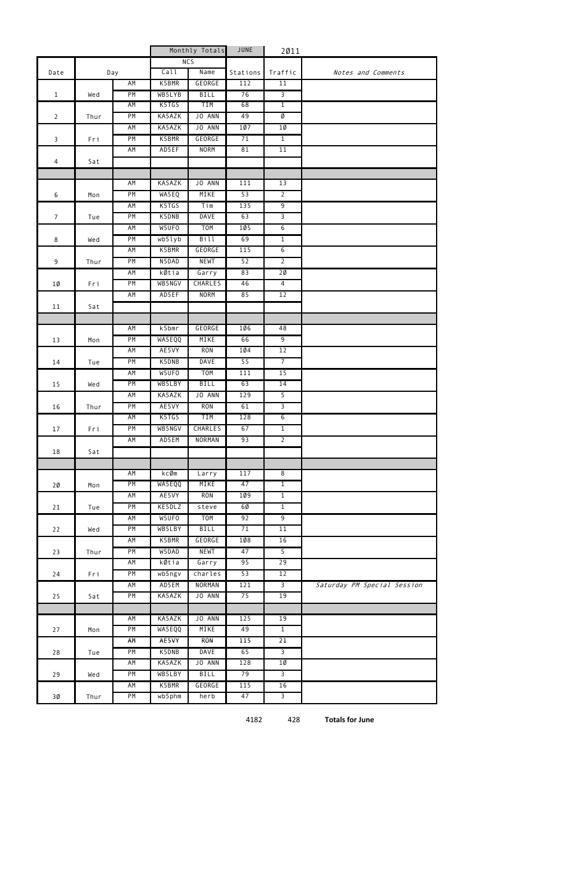|                |      |     | Monthly Totals |                | JUNE     | 2011            |                             |
|----------------|------|-----|----------------|----------------|----------|-----------------|-----------------------------|
|                |      |     |                | <b>NCS</b>     |          |                 |                             |
| Date           |      | Day | Call           | Name           | Stations | Traffic         | Notes and Comments          |
|                |      | AM  | K5BMR          | GEORGE         | 112      | 11              |                             |
| $\mathbf{1}$   | Wed  | PM  | WB5LYB         | BILL           | 76       | $\overline{3}$  |                             |
|                |      | AM  | K5TGS          | TIM            | 68       | $\overline{1}$  |                             |
| $\overline{2}$ | Thur | PM  | KA5AZK         | JO ANN         | 49       | Ø               |                             |
|                |      | AM  | KA5AZK         | JO ANN         | 107      | $10 \,$         |                             |
| $\overline{3}$ | Fri  | PM  | K5BMR          | GEORGE         | 71       | $\overline{1}$  |                             |
|                |      | AM  | AD5EF          | <b>NORM</b>    | 81       | 11              |                             |
| $\overline{4}$ | Sat  |     |                |                |          |                 |                             |
|                |      |     |                |                |          |                 |                             |
|                |      | AM  | KA5AZK         | JO ANN         | 111      | 13              |                             |
| 6              | Mon  | PM  | WA5EQ          | MIKE           | 53       | $\overline{2}$  |                             |
|                |      | AM  | K5TGS          | Tim            | 135      | $\overline{9}$  |                             |
| $\overline{7}$ | Tue  | PM  | K5DNB          | <b>DAVE</b>    | 63       | $\overline{3}$  |                             |
|                |      | AM  | W5UF0          | <b>TOM</b>     | 105      | $6\overline{6}$ |                             |
| 8              | Wed  | PM  | wb5lyb         | Bill           | 69       | $\overline{1}$  |                             |
|                |      | AM  | K5BMR          | GEORGE         | 115      | $6\overline{6}$ |                             |
| 9              | Thur | PM  | N5DAD          | <b>NEWT</b>    | 52       | $\overline{2}$  |                             |
|                |      | AM  | kØtia          | Garry          | 83       | 20              |                             |
| 1Ø             | Fri  | PM  | WB5NGV         | <b>CHARLES</b> | 46       | $\overline{4}$  |                             |
|                |      | AM  | AD5EF          | <b>NORM</b>    | 85       | 12              |                             |
| 11             | Sat  |     |                |                |          |                 |                             |
|                |      | AM  | k5bmr          | GEORGE         | 106      | 48              |                             |
| 13             | Mon  | PM  | WA5EQQ         | MIKE           | 66       | $\overline{9}$  |                             |
|                |      | AM  | AE5VY          | <b>RON</b>     | 1Ø4      | 12              |                             |
| 14             | Tue  | PM  | K5DNB          | <b>DAVE</b>    | 55       | $\overline{7}$  |                             |
|                |      | ΑM  | W5UF0          | <b>TOM</b>     | 111      | 15              |                             |
| 15             | Wed  | PM  | WB5LBY         | BILL           | 63       | 14              |                             |
|                |      | AM  | KA5AZK         | JO ANN         | 129      | 5 <sup>7</sup>  |                             |
| 16             | Thur | PM  | AE5VY          | <b>RON</b>     | 61       | $\overline{3}$  |                             |
|                |      | AM  | K5TGS          | TIM            | 128      | 6               |                             |
| 17             | Fri  | PM  | WB5NGV         | CHARLES        | 67       | $\overline{1}$  |                             |
|                |      | AM  | AD5EM          | NORMAN         | 93       | $\overline{2}$  |                             |
| 18             | Sat  |     |                |                |          |                 |                             |
|                |      |     |                |                |          |                 |                             |
|                |      | AM  | kcØm           | Larry          | 117      | 8               |                             |
| 2Ø             | Mon  | PM  | WA5EQQ         | MIKE           | 47       | $\overline{1}$  |                             |
|                |      | AM  | AE5VY          | <b>RON</b>     | 109      | $\overline{1}$  |                             |
| 21             | Tue  | PM  | KE5DLZ         | steve          | 6Ø       | $\overline{1}$  |                             |
|                |      | AM  | W5UF0          | <b>TOM</b>     | 92       | $\overline{9}$  |                             |
| 22             | Wed  | PM  | WB5LBY         | BILL           | 71       | 11              |                             |
|                |      | AM  | K5BMR          | GEORGE         | 108      | 16              |                             |
| 23             | Thur | PM  | W5DAD          | <b>NEWT</b>    | 47       | $\overline{5}$  |                             |
|                |      | AM  | kØtia          | Garry          | 95       | 29              |                             |
| 24             | Fri  | PM  | wb5ngv         | charles        | 53       | 12              |                             |
|                |      | AM  | AD5EM          | NORMAN         | 121      | $\overline{3}$  | Saturday PM Special Session |
| 25             | Sat  | PM  | KA5AZK         | JO ANN         | 75       | 19              |                             |
|                |      |     |                |                |          |                 |                             |
|                |      | AM  | KA5AZK         | JO ANN         | 125      | 19              |                             |
| 27             | Mon  | PM  | WA5EQQ         | MIKE           | 49       | $\overline{1}$  |                             |
|                |      | AM  | AE5VY          | <b>RON</b>     | 115      | 21              |                             |
| 28             | Tue  | PM  | K5DNB          | <b>DAVE</b>    | 65       | $\overline{3}$  |                             |
|                |      | AM  | KA5AZK         | JO ANN         | 128      | $10 \,$         |                             |
| 29             | Wed  | PM  | WB5LBY         | BILL           | 79       | $\overline{3}$  |                             |
|                |      | AM  | K5BMR          | GEORGE         | 115      | 16              |                             |
| ЗØ             | Thur | PM  | wb5phm         | herb           | 47       | $\overline{3}$  |                             |

4182 428  **Totals for June**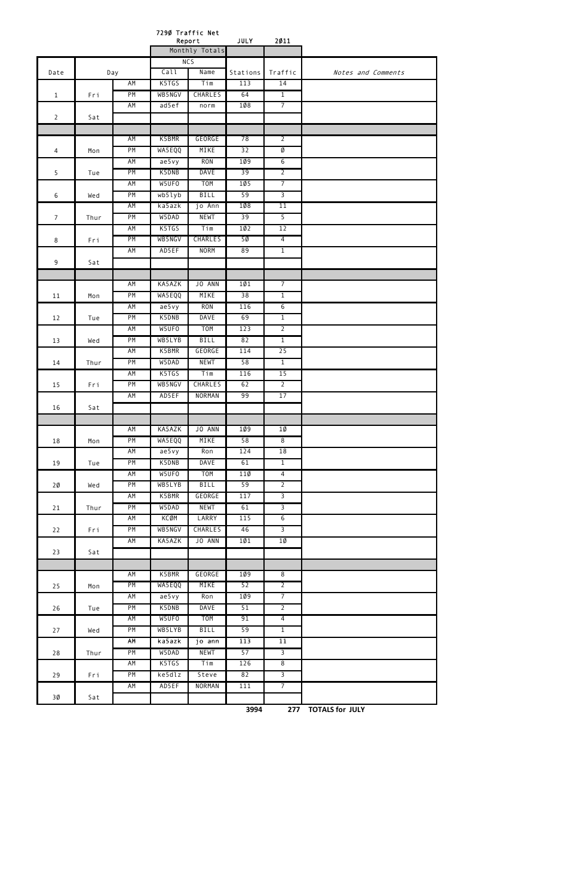|                |      | 7290 Traffic Net<br>Report<br><b>JULY</b><br>Monthly Totals |                    |                  | 2011            |                                  |                    |
|----------------|------|-------------------------------------------------------------|--------------------|------------------|-----------------|----------------------------------|--------------------|
|                |      |                                                             |                    |                  |                 |                                  |                    |
|                |      |                                                             |                    | NC <sub>5</sub>  |                 |                                  |                    |
| Date           |      | Day                                                         | Call               | Name             | Stations        | Traffic                          | Notes and Comments |
|                |      | AM                                                          | K5TGS              | Tim              | 113             | 14                               |                    |
| $\mathbf{1}$   | Fri  | PM                                                          | WB5NGV             | <b>CHARLES</b>   | 64              | $\overline{1}$                   |                    |
|                |      | AM                                                          | ad5ef              | norm             | 1008            | $\overline{7}$                   |                    |
| $\overline{2}$ | Sat  |                                                             |                    |                  |                 |                                  |                    |
|                |      |                                                             |                    |                  |                 |                                  |                    |
|                |      | AM                                                          | K5BMR              | GEORGE           | 78              | $\overline{2}$                   |                    |
| $\overline{4}$ | Mon  | PM                                                          | WA5EQQ             | MIKE             | 32              | Ø                                |                    |
|                |      | AM                                                          | a e 5 v y          | <b>RON</b>       | 1Ø9             | $6\overline{6}$                  |                    |
| 5              | Tue  | PM                                                          | K5DNB              | <b>DAVE</b>      | 39              | $\overline{2}$                   |                    |
|                |      | AM                                                          | W5UF0              | T <sub>O</sub> M | 105             | $\overline{7}$                   |                    |
| 6              | Wed  | PM                                                          | wb5lyb             | <b>BILL</b>      | 59              | $\overline{3}$                   |                    |
|                |      | AM                                                          | ka5azk             | jo Ann           | 108             | 11                               |                    |
| $\overline{7}$ | Thur | PM                                                          | W5DAD              | <b>NEWT</b>      | 39              | $\overline{5}$                   |                    |
|                |      | AM                                                          | K5TGS              | Tim              | 10 <sub>2</sub> | 12                               |                    |
| 8              | Fri  | PM                                                          | WB5NGV             | CHARLES          | 50              | $\overline{4}$                   |                    |
|                |      | AM                                                          | AD5EF              | <b>NORM</b>      | 89              | $\overline{1}$                   |                    |
| 9              | Sat  |                                                             |                    |                  |                 |                                  |                    |
|                |      |                                                             |                    |                  |                 |                                  |                    |
|                |      | AM                                                          | KA5AZK             | JO ANN           | 101             | $\overline{7}$                   |                    |
| 11             | Mon  | PM                                                          | WA5EQQ             | MIKE             | 38              | $\overline{1}$                   |                    |
|                |      | AM                                                          | a e 5 v y          | <b>RON</b>       | 116             | $\overline{6}$                   |                    |
| 12             | Tue  | PM                                                          | K5DNB              | <b>DAVE</b>      | 69              | $\overline{1}$                   |                    |
|                |      | AM                                                          | W5UFO              | <b>TOM</b>       | 123             | $\overline{2}$                   |                    |
| 13             | Wed  | PM                                                          | WB5LYB             | <b>BILL</b>      | 82              | $\overline{1}$                   |                    |
|                |      | AM                                                          | K5BMR              | GEORGE           | 114             | 25                               |                    |
| 14             | Thur | PM                                                          | W5DAD              | <b>NEWT</b>      | 58              | $\overline{1}$                   |                    |
|                |      | AM                                                          | K5TGS              | Tim              | 116             | 15                               |                    |
| 15             | Fri  | PM                                                          | WB5NGV             | <b>CHARLES</b>   | 62              | $\overline{2}$                   |                    |
|                |      | AM                                                          | AD5EF              | NORMAN           | 99              | 17                               |                    |
| 16             | Sat  |                                                             |                    |                  |                 |                                  |                    |
|                |      |                                                             |                    |                  |                 |                                  |                    |
|                |      | AM<br>PM                                                    | KA5AZK<br>WA5EQQ   | JO ANN<br>MIKE   | 109<br>58       | 10<br>$\overline{8}$             |                    |
| 18             | Mon  | AM                                                          |                    | Ron              | 124             |                                  |                    |
|                |      | PM                                                          | a e 5 v y<br>K5DNB | <b>DAVE</b>      | 61              | 18<br>$\overline{1}$             |                    |
| 19             | Tue  |                                                             | W5UF0              | <b>TOM</b>       |                 |                                  |                    |
|                |      | AM<br>PM                                                    | WB5LYB             | <b>BILL</b>      | 110<br>59       | $\overline{4}$<br>$\overline{2}$ |                    |
| $20 \theta$    | Wed  |                                                             |                    |                  |                 |                                  |                    |
|                |      | AM                                                          | K5BMR              | GEORGE           | 117             | $\overline{3}$                   |                    |
| 21             | Thur | PM                                                          | W5DAD              | <b>NEWT</b>      | 61              | $\overline{3}$                   |                    |
|                |      | AM                                                          | <b>KCØM</b>        | LARRY            | 115             | $6\overline{6}$                  |                    |
| 22             | Fri  | PM                                                          | WB5NGV             | CHARLES          | 46              | $\overline{3}$                   |                    |
| 23             | Sat  | AM                                                          | KA5AZK             | JO ANN           | 101             | 1Ø                               |                    |
|                |      |                                                             |                    |                  |                 |                                  |                    |
|                |      | AM                                                          | K5BMR              | GEORGE           | 1Ø9             | $\overline{8}$                   |                    |
| 25             | Mon  | PM                                                          | WA5EQQ             | MIKE             | 52              | $\overline{2}$                   |                    |
|                |      | AM                                                          | a e 5 v y          | Ron              | 1Ø9             | $\overline{7}$                   |                    |
| 26             | Tue  | PM                                                          | K5DNB              | <b>DAVE</b>      | 51              | $\overline{2}$                   |                    |
|                |      | AM                                                          | W5UF0              | <b>TOM</b>       | 91              | $\overline{4}$                   |                    |
| 27             | Wed  | PM                                                          | WB5LYB             | <b>BILL</b>      | 59              | $\overline{1}$                   |                    |
|                |      | AM                                                          | ka5azk             | jo ann           | 113             | 11                               |                    |
| $28\,$         | Thur | PM                                                          | W5DAD              | <b>NEWT</b>      | 57              | $\overline{3}$                   |                    |

|    |     | ΑM | K5TGS  | $\tau$ im     | 126       | 8 |  |
|----|-----|----|--------|---------------|-----------|---|--|
| 29 | Fri | PM | ke5dlz | Steve         | 82        |   |  |
|    |     | AM | AD5EF  | <b>NORMAN</b> | 11<br>ᆂᆂᆂ |   |  |
| 3Ø | Sat |    |        |               |           |   |  |

**3994 277 TOTALS for JULY**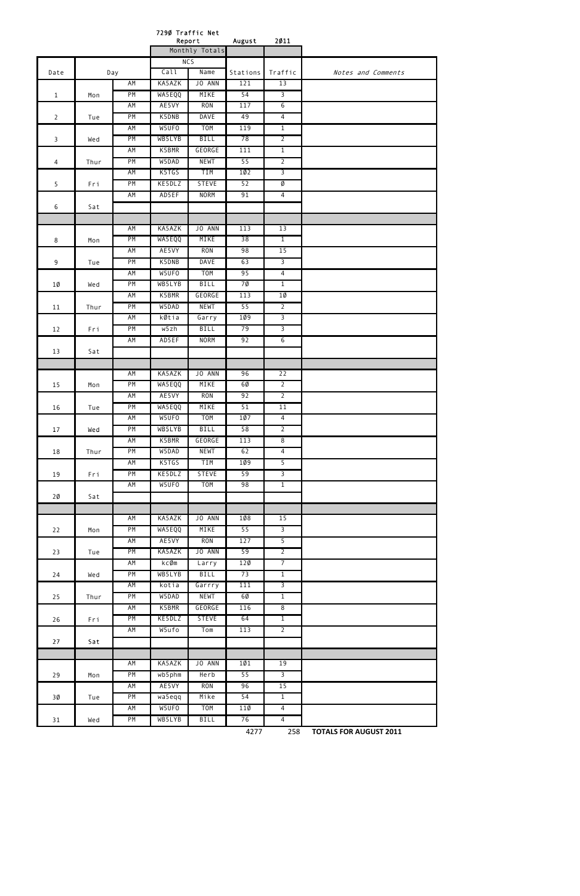|                |      |           | 7290 Traffic Net<br>Report |                    | August          | 2011                             |                    |
|----------------|------|-----------|----------------------------|--------------------|-----------------|----------------------------------|--------------------|
|                |      |           |                            | Monthly Totals     |                 |                                  |                    |
|                |      |           |                            | NC5                |                 |                                  |                    |
| Date           |      | Day       | Call                       | Name               | Stations        | Traffic                          | Notes and Comments |
|                |      | AM        | KA5AZK                     | JO ANN             | 121             | 13                               |                    |
| $\mathbf{1}$   | Mon  | PM        | WA5EQQ                     | MIKE               | 54              | $\overline{3}$                   |                    |
|                |      | AM        | AE5VY                      | <b>RON</b>         | 117             | 6                                |                    |
| $\overline{2}$ | Tue  | PM        | K5DNB                      | <b>DAVE</b>        | 49              | $\overline{4}$                   |                    |
|                |      | AM        | W5UF0                      | <b>TOM</b>         | 119             | $\overline{1}$                   |                    |
| 3              | Wed  | PM        | WB5LYB                     | <b>BILL</b>        | 78              | $\overline{2}$                   |                    |
|                |      | AM        | K5BMR                      | GEORGE             | 111             | $\overline{1}$                   |                    |
| 4              | Thur | PM        | W5DAD                      | <b>NEWT</b>        | 55              | $\overline{2}$                   |                    |
|                |      | AM        | K5TGS                      | <b>TIM</b>         | 10 <sub>2</sub> | $\overline{3}$                   |                    |
| 5              | Fri  | PM        | KE5DLZ<br>AD5EF            | <b>STEVE</b>       | 52              | Ø                                |                    |
|                |      | AM        |                            | <b>NORM</b>        | 91              | $\overline{4}$                   |                    |
| 6              | Sat  |           |                            |                    |                 |                                  |                    |
|                |      | AM        | KA5AZK                     | JO ANN             | 113             | 13                               |                    |
|                |      | PM        | WA5EQQ                     | MIKE               | 38              | $\overline{1}$                   |                    |
| 8              | Mon  | AM        | AE5VY                      | <b>RON</b>         | 98              | 15                               |                    |
| 9              | Tue  | PM        | K5DNB                      | <b>DAVE</b>        | 63              | $\overline{3}$                   |                    |
|                |      | AM        | W5UF0                      | <b>TOM</b>         | 95              | $\overline{4}$                   |                    |
| 1Ø             | Wed  | PM        | WB5LYB                     | <b>BILL</b>        | 7Ø              | $\overline{1}$                   |                    |
|                |      | AM        | K5BMR                      | GEORGE             | 113             | $1\emptyset$                     |                    |
| 11             | Thur | PM        | W5DAD                      | <b>NEWT</b>        | 55              | $\overline{2}$                   |                    |
|                |      | AM        | kØtia                      | Garry              | 1Ø9             | $\overline{3}$                   |                    |
| 12             | Fri  | PM        | w5zh                       | <b>BILL</b>        | 79              | $\overline{3}$                   |                    |
|                |      | AM        | AD5EF                      | <b>NORM</b>        | 92              | $6\overline{6}$                  |                    |
| 13             | Sat  |           |                            |                    |                 |                                  |                    |
|                |      |           |                            |                    |                 |                                  |                    |
|                |      | AM        | KA5AZK                     | JO ANN             | 96              | 22                               |                    |
| 15             | Mon  | PM        | WA5EQQ                     | MIKE               | 6Ø              | $\overline{2}$                   |                    |
|                |      | AM        | AE5VY                      | <b>RON</b>         | 92              | $\overline{2}$                   |                    |
| 16             | Tue  | PM        | WA5EQQ                     | MIKE               | 51              | 11                               |                    |
|                |      | <b>AM</b> | W5UF0                      | T <sub>O</sub> M   | 107             | $\overline{4}$                   |                    |
| 17             | Wed  | PM        | WB5LYB                     | <b>BILL</b>        | 58              | $\overline{2}$                   |                    |
|                |      | AM        | K5BMR                      | GEORGE             | 113             | 8                                |                    |
| 18             | Thur | PM        | W5DAD                      | <b>NEWT</b>        | 62              | $\overline{4}$                   |                    |
|                |      | AM        | K5TGS                      | <b>TIM</b>         | 1Ø9             | 5                                |                    |
| 19             | Fri  | PM        | KE5DLZ                     | <b>STEVE</b>       | 59              | $\overline{3}$                   |                    |
|                |      | AM        | W5UF0                      | <b>TOM</b>         | 98              | $\overline{1}$                   |                    |
| 2Ø             | Sat  |           |                            |                    |                 |                                  |                    |
|                |      |           |                            |                    |                 |                                  |                    |
|                |      | AM        | KA5AZK                     | JO ANN             | 108             | 15                               |                    |
| 22             | Mon  | PM<br>AM  | WA5EQQ<br>AE5VY            | MIKE<br><b>RON</b> | 55<br>127       | $\overline{3}$<br>$\overline{5}$ |                    |
| 23             | Tue  | PM        | KA5AZK                     | JO ANN             | 59              | $\overline{2}$                   |                    |
|                |      | AM        | kcØm                       | Larry              | 120             | $\overline{7}$                   |                    |
| 24             | Wed  | PM        | WB5LYB                     | <b>BILL</b>        | 73              | $\overline{1}$                   |                    |
|                |      | AM        | kotia                      | Garrry             | 111             | $\overline{3}$                   |                    |
| 25             | Thur | PM        | W5DAD                      | <b>NEWT</b>        | 60              | $\overline{1}$                   |                    |
|                |      | AM        | K5BMR                      | GEORGE             | 116             | 8                                |                    |
| 26             | Fri  | PM        | KE5DLZ                     | <b>STEVE</b>       | 64              | $\overline{1}$                   |                    |
|                |      | AM        | W5ufo                      | Tom                | 113             | $\overline{2}$                   |                    |
| 27             | Sat  |           |                            |                    |                 |                                  |                    |
|                |      |           |                            |                    |                 |                                  |                    |

|    |     | AM        | KA5AZK | ANN<br>J0  | 1Ø1 | 19 |  |
|----|-----|-----------|--------|------------|-----|----|--|
| 29 | Mon | <b>PM</b> | wb5phm | Herb       | 55  |    |  |
|    |     | AM        | AE5VY  | <b>RON</b> | 96  | 15 |  |
| 3Ø | Tue | PM        | wa5eqq | Mike       | 54  |    |  |
|    |     | ΑM        | W5UFO  | <b>TOM</b> | 11Ø | 4  |  |
| 31 | Wed | <b>PM</b> | WB5LYB | BILL       | 76  | 4  |  |

4277 258  **TOTALS FOR AUGUST 2011**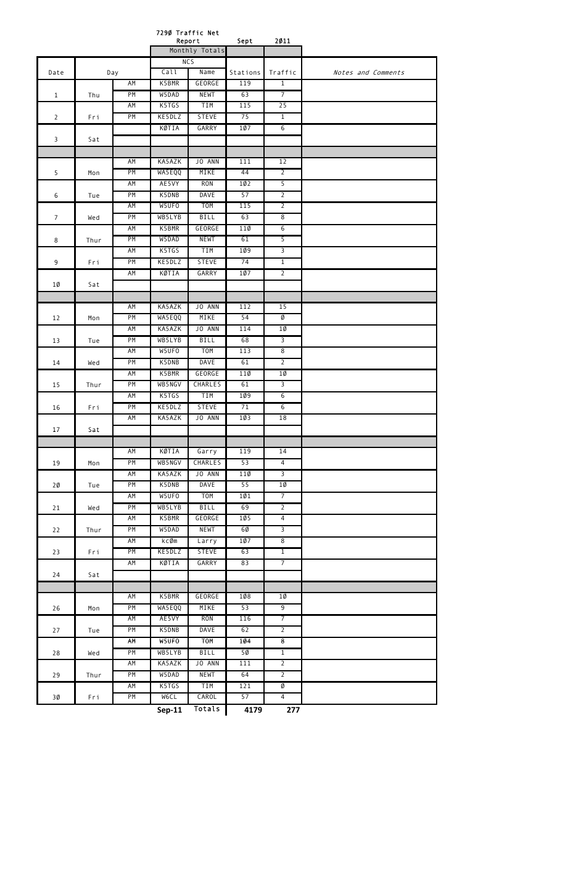|                 |      |     |                | 7290 Traffic Net<br>Report | Sept            | 2011            |                    |
|-----------------|------|-----|----------------|----------------------------|-----------------|-----------------|--------------------|
|                 |      |     | Monthly Totals |                            |                 |                 |                    |
|                 |      |     |                | <b>NCS</b>                 |                 |                 |                    |
| Date            |      | Day | Call           | Name                       | Stations        | Traffic         | Notes and Comments |
|                 |      | AM  | K5BMR          | <b>GEORGE</b>              | 119             | $\mathbf{1}$    |                    |
| $\mathbf{1}$    | Thu  | PM  | W5DAD          | <b>NEWT</b>                | 63              | $\overline{7}$  |                    |
|                 |      | AM  | K5TGS          | <b>TIM</b>                 | 115             | 25              |                    |
| $\overline{2}$  | Fri  | PM  | KE5DLZ         | <b>STEVE</b>               | 75              | $\overline{1}$  |                    |
|                 |      |     | KØTIA          | GARRY                      | 107             | $6\overline{6}$ |                    |
| 3               | Sat  |     |                |                            |                 |                 |                    |
|                 |      |     |                |                            |                 |                 |                    |
|                 |      | AM  | KA5AZK         | JO ANN                     | 111             | 12              |                    |
| 5               | Mon  | PM  | WA5EQQ         | MIKE                       | 44              | $\overline{2}$  |                    |
|                 |      | AM  | AE5VY          | <b>RON</b>                 | 10 <sub>2</sub> | $\overline{5}$  |                    |
| 6               | Tue  | PM  | K5DNB          | <b>DAVE</b>                | 57              | $\overline{2}$  |                    |
|                 |      | AM  | W5UF0          | T <sub>O</sub> M           | 115             | $\overline{2}$  |                    |
| $7\overline{ }$ | Wed  | PM  | WB5LYB         | <b>BILL</b>                | 63              | $\overline{8}$  |                    |
|                 |      | AM  | K5BMR          | GEORGE                     | 110             | $6\overline{6}$ |                    |
| 8               | Thur | PM  | W5DAD          | <b>NEWT</b>                | 61              | 5               |                    |
|                 |      | AM  | K5TGS          | <b>TIM</b>                 | 109             | $\overline{3}$  |                    |
| 9               | Fri  | PM  | KE5DLZ         | <b>STEVE</b>               | 74              | $\overline{1}$  |                    |
|                 |      | AM  | KØTIA          | GARRY                      | 107             | $\overline{2}$  |                    |
|                 |      |     |                |                            |                 |                 |                    |
| 1Ø              | Sat  |     |                |                            |                 |                 |                    |
|                 |      |     |                |                            |                 |                 |                    |
|                 |      | AM  | KA5AZK         | JO ANN                     | 112             | 15              |                    |
| 12              | Mon  | PM  | WA5EQQ         | MIKE                       | 54              | Ø               |                    |
|                 |      | AM  | KA5AZK         | JO ANN                     | 114             | 10              |                    |
| 13              | Tue  | PM  | WB5LYB         | <b>BILL</b>                | 68              | $\overline{3}$  |                    |
|                 |      | AM  | W5UFO          | T <sub>O</sub> M           | 113             | $\overline{8}$  |                    |
| 14              | Wed  | PM  | K5DNB          | <b>DAVE</b>                | 61              | $\overline{2}$  |                    |
|                 |      | AM  | K5BMR          | GEORGE                     | 110             | 1Ø              |                    |
| 15              | Thur | PM  | WB5NGV         | <b>CHARLES</b>             | 61              | $\overline{3}$  |                    |
|                 |      | AM  | K5TGS          | TIM                        | 1Ø9             | $\overline{6}$  |                    |
| 16              | Fri  | PM  | KE5DLZ         | <b>STEVE</b>               | 71              | $6\overline{6}$ |                    |
|                 |      | AM  | KA5AZK         | JO ANN                     | 10 <sub>3</sub> | 18              |                    |
| 17              | Sat  |     |                |                            |                 |                 |                    |
|                 |      |     |                |                            |                 |                 |                    |
|                 |      | AM  | KØTIA          | Garry                      | 119             | 14              |                    |
| 19              | Mon  | PM  | WB5NGV         | <b>CHARLES</b>             | 53              | $\overline{4}$  |                    |
|                 |      | AM  | KA5AZK         | JO ANN                     | 110             | $\overline{3}$  |                    |
| 2Ø              | Tue  | PM  | K5DNB          | <b>DAVE</b>                | 55              | $10 \,$         |                    |
|                 |      | AM  | W5UF0          | <b>TOM</b>                 | 101             | $\overline{7}$  |                    |
| 21              | Wed  | PM  | WB5LYB         | BILL                       | 69              | $\overline{2}$  |                    |
|                 |      | AM  | K5BMR          | GEORGE                     | 105             | $\overline{4}$  |                    |
| 22              | Thur | PM  | W5DAD          | <b>NEWT</b>                | 6Ø              | $\overline{3}$  |                    |
|                 |      | AM  | kcØm           | Larry                      | 107             | $\overline{8}$  |                    |
| 23              | Fri  | PM  | KE5DLZ         | <b>STEVE</b>               | 63              | $\overline{1}$  |                    |
|                 |      | AM  | KØTIA          | GARRY                      | 83              | $\overline{7}$  |                    |
| 24              | Sat  |     |                |                            |                 |                 |                    |
|                 |      |     |                |                            |                 |                 |                    |
|                 |      | AM  | K5BMR          | GEORGE                     | 108             | 10              |                    |
|                 |      | PM  | WA5EQQ         | MIKE                       | 53              | $\overline{9}$  |                    |
| 26              | Mon  | AM  | AE5VY          | <b>RON</b>                 | 116             | $\overline{7}$  |                    |
|                 |      |     |                |                            |                 |                 |                    |
| 27              | Tue  | PM  | K5DNB          | DAVE                       | 62              | $\overline{2}$  |                    |
|                 |      | AM  | W5UFO          | <b>TOM</b>                 | 104             | $\overline{8}$  |                    |
| 28              | Wed  | PM  | WB5LYB         | <b>BILL</b>                | 5Ø              | $\overline{1}$  |                    |

|    |      |    | <b>Sep-11</b> | Totals      | 4179 | 277 |
|----|------|----|---------------|-------------|------|-----|
| 3Ø | Fri  | PM | W6CL          | CAROL       | 57   | 4   |
|    |      | ΑM | K5TGS         | TIM         | 121  | Ø   |
| 29 | Thur | РM | W5DAD         | <b>NEWT</b> | 64   | ▵   |
|    |      | AM | KA5AZK        | ANN<br>J0   | 111  |     |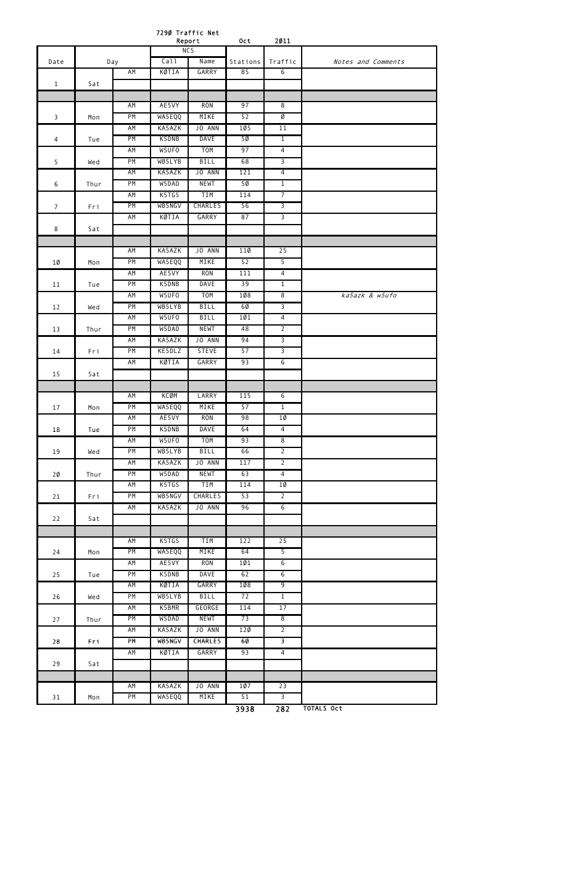7290 Traffic Net

|                |      |           |        | Report           | 0ct      | 2011            |                    |
|----------------|------|-----------|--------|------------------|----------|-----------------|--------------------|
|                |      |           |        | <b>NCS</b>       |          |                 |                    |
| Date           |      | Day       | Call   | Name             | Stations | Traffic         | Notes and Comments |
|                |      | <b>AM</b> | KØTIA  | GARRY            | 85       | $6\overline{6}$ |                    |
| $\mathbf{1}$   | Sat  |           |        |                  |          |                 |                    |
|                |      | AM        | AE5VY  | <b>RON</b>       | 97       | $\overline{8}$  |                    |
| 3              | Mon  | PM        | WA5EQQ | MIKE             | 52       | Ø               |                    |
|                |      | AM        | KA5AZK | JO ANN           | 1Ø5      | 11              |                    |
| 4              | Tue  | PM        | K5DNB  | <b>DAVE</b>      | 50       | $\overline{1}$  |                    |
|                |      | AM        | W5UF0  | <b>TOM</b>       | 97       | $\overline{4}$  |                    |
| 5              | Wed  | PM        | WB5LYB | <b>BILL</b>      | 68       | $\overline{3}$  |                    |
|                |      | AM        | KA5AZK | JO ANN           | 121      | $\overline{4}$  |                    |
| 6              | Thur | PM        | W5DAD  | <b>NEWT</b>      | 5Ø       | $\overline{1}$  |                    |
|                |      | <b>AM</b> | K5TGS  | TIM              | 114      | $\overline{7}$  |                    |
| $\overline{7}$ | Fri  | PM        | WB5NGV | <b>CHARLES</b>   | 56       | $\overline{3}$  |                    |
|                |      | AM        | KØTIA  | GARRY            | 87       | $\overline{3}$  |                    |
| 8              | Sat  |           |        |                  |          |                 |                    |
|                |      |           |        |                  |          |                 |                    |
|                |      | AM        | KA5AZK | JO ANN           | 110      | 25              |                    |
| 1Ø             | Mon  | PM        | WA5EQQ | MIKE             | 52       | $\overline{5}$  |                    |
|                |      | AM        | AE5VY  | <b>RON</b>       | 111      | $\overline{4}$  |                    |
| 11             | Tue  | PM        | K5DNB  | <b>DAVE</b>      | 39       | $\overline{1}$  |                    |
|                |      | AM        | W5UF0  | <b>TOM</b>       | 108      | $\overline{8}$  | ka5azk & w5ufo     |
| 12             | Wed  | PM        | WB5LYB | <b>BILL</b>      | 6Ø       | $\overline{3}$  |                    |
|                |      | <b>AM</b> | W5UFO  | <b>BILL</b>      | 101      | $\overline{4}$  |                    |
| 13             | Thur | PM        | W5DAD  | <b>NEWT</b>      | 48       | $\overline{2}$  |                    |
|                |      | <b>AM</b> | KA5AZK | JO ANN           | 94       | $\overline{3}$  |                    |
| 14             | Fri  | PM        | KE5DLZ | <b>STEVE</b>     | 57       | $\overline{3}$  |                    |
|                |      | AM        | KØTIA  | GARRY            | 93       | $6\overline{6}$ |                    |
| 15             | Sat  |           |        |                  |          |                 |                    |
|                |      | AM        | KCØM   | LARRY            | 115      | $\overline{6}$  |                    |
|                |      | PM        | WA5EQQ | MIKE             | 57       | $\overline{1}$  |                    |
| 17             | Mon  | AM        | AE5VY  | <b>RON</b>       | 98       | 1Ø              |                    |
| 18             | Tue  | PM        | K5DNB  | <b>DAVE</b>      | 64       | $\overline{4}$  |                    |
|                |      | AM        | W5UF0  | T <sub>O</sub> M | 93       | $\overline{8}$  |                    |
| 19             | Wed  | PM        | WB5LYB | <b>BILL</b>      | 66       | $\overline{2}$  |                    |
|                |      | ΑM        | KA5AZK | JO ANN           | 117      | $\overline{2}$  |                    |
| 2Ø             | Thur | PM        | W5DAD  | <b>NEWT</b>      | 63       | $\overline{4}$  |                    |
|                |      | <b>AM</b> | K5TGS  | TIM              | 114      | 10              |                    |
| 21             | Fri  | PM        | WB5NGV | <b>CHARLES</b>   | 53       | $\overline{2}$  |                    |
|                |      | AM        | KA5AZK | JO ANN           | 96       | 6               |                    |
| 22             | Sat  |           |        |                  |          |                 |                    |
|                |      |           |        |                  |          |                 |                    |
|                |      | <b>AM</b> | K5TGS  | <b>TIM</b>       | 122      | 25              |                    |
| 24             | Mon  | PM        | WA5EQQ | MIKE             | 64       | $\overline{5}$  |                    |
|                |      | <b>AM</b> | AE5VY  | <b>RON</b>       | 101      | 6               |                    |
| 25             | Tue  | PM        | K5DNB  | <b>DAVE</b>      | 62       | $6\overline{6}$ |                    |
|                |      | ΑM        | KØTIA  | <b>GARRY</b>     | 108      | $\overline{9}$  |                    |
| 26             | Wed  | PM        | WB5LYB | <b>BILL</b>      | 72       | $\mathbf{1}$    |                    |
|                |      | <b>AM</b> | K5BMR  | GEORGE           | 114      | 17              |                    |
| 27             | Thur | PM        | W5DAD  | <b>NEWT</b>      | 73       | $\overline{8}$  |                    |
|                |      | ΑM        | KA5AZK | JO ANN           | 120      | $\overline{2}$  |                    |
| 28             | Fri  | PM        | WB5NGV | <b>CHARLES</b>   | 60       | $\overline{3}$  |                    |
|                |      | AM        | KØTIA  | GARRY            | 93       | $\overline{4}$  |                    |

| 29 | Sat |           |        |           |      |     |                   |
|----|-----|-----------|--------|-----------|------|-----|-------------------|
|    |     |           |        |           |      |     |                   |
|    |     | ΑM        | KA5AZK | ANN<br>J0 | 107  | 23  |                   |
| 31 | Mon | <b>PM</b> | WA5EQQ | MIKE      | 51   |     |                   |
|    |     |           |        |           | 3938 | 282 | <b>TOTALS Oct</b> |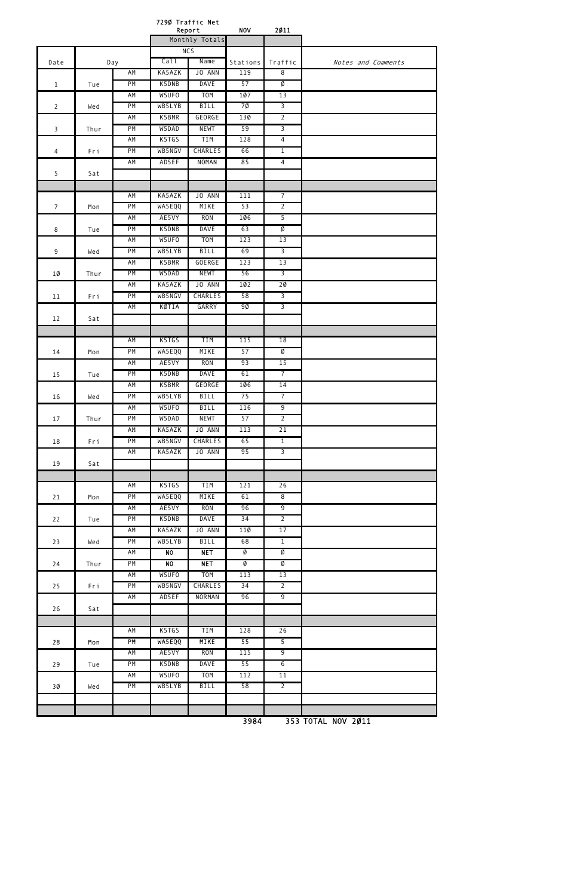|                |      |     | 7290 Traffic Net | Report           | <b>NOV</b>      | 2011            |                    |
|----------------|------|-----|------------------|------------------|-----------------|-----------------|--------------------|
|                |      |     |                  | Monthly Totals   |                 |                 |                    |
|                |      |     |                  | <b>NCS</b>       |                 |                 |                    |
| Date           |      | Day | Call             | Name             | Stations        | Traffic         | Notes and Comments |
|                |      | AM  | KA5AZK           | JO ANN           | 119             | $\overline{8}$  |                    |
| $\mathbf{1}$   | Tue  | PM  | K5DNB            | <b>DAVE</b>      | 57              | Ø               |                    |
|                |      | AM  | W5UFO            | <b>TOM</b>       | 107             | 13              |                    |
| $\overline{2}$ | Wed  | PM  | WB5LYB           | <b>BILL</b>      | 70              | $\overline{3}$  |                    |
|                |      | AM  | K5BMR            | GEORGE           | 130             | $\overline{2}$  |                    |
| $\overline{3}$ | Thur | PM  | W5DAD            | <b>NEWT</b>      | 59              | $\overline{3}$  |                    |
|                |      | AM  | K5TGS            | TIM              | 128             | $\overline{4}$  |                    |
| 4              | Fri  | PM  | WB5NGV           | <b>CHARLES</b>   | 66              | $\overline{1}$  |                    |
|                |      | AM  | AD5EF            | <b>NOMAN</b>     | 85              | $\overline{4}$  |                    |
| 5              | Sat  |     |                  |                  |                 |                 |                    |
|                |      |     |                  |                  |                 |                 |                    |
|                |      | AM  | KA5AZK           | JO ANN           | 111             | $\overline{7}$  |                    |
| $\overline{7}$ | Mon  | PM  | WA5EQQ           | MIKE             | 53              | $\overline{2}$  |                    |
|                |      | AM  | AE5VY            | <b>RON</b>       | <b>106</b>      | $\overline{5}$  |                    |
| 8              | Tue  | PM  | K5DNB            | <b>DAVE</b>      | 63              | Ø               |                    |
|                |      | AM  | W5UFO            | <b>TOM</b>       | 123             | 13              |                    |
| $\overline{9}$ | Wed  | PM  | WB5LYB           | <b>BILL</b>      | 69              | $\overline{3}$  |                    |
|                |      | AM  | K5BMR            | <b>GOERGE</b>    | 123             | 13              |                    |
| $1\emptyset$   | Thur | PM  | W5DAD            | <b>NEWT</b>      | 56              | 3               |                    |
|                |      | AM  | KA5AZK           | JO ANN           | 10 <sub>2</sub> | 20              |                    |
| 11             | Fri  | PM  | WB5NGV           | <b>CHARLES</b>   | 58              | $\overline{3}$  |                    |
|                |      | ΑM  | KØTIA            | GARRY            | 9Ø              | $\overline{3}$  |                    |
| 12             | Sat  |     |                  |                  |                 |                 |                    |
|                |      | AM  | K5TGS            | TIM              | 115             | 18              |                    |
| 14             | Mon  | PM  | WA5EQQ           | MIKE             | 57              | Ø               |                    |
|                |      | AM  | AE5VY            | <b>RON</b>       | 93              | 15              |                    |
| 15             | Tue  | PM  | K5DNB            | <b>DAVE</b>      | 61              | $\overline{7}$  |                    |
|                |      | AM  | K5BMR            | <b>GEORGE</b>    | 106             | 14              |                    |
| 16             | Wed  | PM  | WB5LYB           | <b>BILL</b>      | 75              | $\overline{7}$  |                    |
|                |      | AM  | W5UF0            | <b>BILL</b>      | 116             | $\overline{9}$  |                    |
| 17             | Thur | PM  | W5DAD            | <b>NEWT</b>      | 57              | $\overline{2}$  |                    |
|                |      | AM  | KA5AZK           | JO ANN           | 113             | $\overline{21}$ |                    |
| 18             | Fri  | PM  | WB5NGV           | <b>CHARLES</b>   | 65              | $\overline{1}$  |                    |
|                |      | AM  | KA5AZK           | JO ANN           | 95              | $\overline{3}$  |                    |
| 19             | Sat  |     |                  |                  |                 |                 |                    |
|                |      |     |                  |                  |                 |                 |                    |
|                |      | AM  | K5TGS            | TIM              | 121             | 26              |                    |
| 21             | Mon  | PM  | WA5EQQ           | MIKE             | 61              | $\overline{8}$  |                    |
|                |      | AM  | AE5VY            | <b>RON</b>       | 96              | 9               |                    |
| 22             | Tue  | PM  | K5DNB            | <b>DAVE</b>      | 34              | $\overline{2}$  |                    |
|                |      | AM  | KA5AZK           | JO ANN           | 110             | 17              |                    |
| 23             | Wed  | PM  | WB5LYB           | <b>BILL</b>      | 68              | $\overline{1}$  |                    |
|                |      | AM  | N <sub>0</sub>   | <b>NET</b>       | Ø               | Ø               |                    |
| 24             | Thur | PM  | N <sub>0</sub>   | <b>NET</b>       | Ø               | Ø               |                    |
|                |      | AM  | W5UFO            | T <sub>O</sub> M | 113             | 13              |                    |
| 25             | Fri  | PM  | WB5NGV           | <b>CHARLES</b>   | 34              | $\overline{2}$  |                    |
|                |      | AM  | AD5EF            | NORMAN           | 96              | $\overline{9}$  |                    |
| 26             | Sat  |     |                  |                  |                 |                 |                    |
|                |      |     |                  |                  |                 |                 |                    |
|                |      | AM  | K5TGS            | TIM              | 128             | 26              |                    |
| $2\sqrt{8}$    | Mon  | PM  | WA5EQQ           | <b>MIKE</b>      | 55              | $\overline{5}$  |                    |

| 29 | Tue | PM | K5DNB  | DAVE | 55  | b         |  |
|----|-----|----|--------|------|-----|-----------|--|
|    |     | AM | W5UF0  | TOM  | 112 | . .<br>ᆂᆂ |  |
| 3Ø | Wed | PM | WB5LYB | BILL | 58  | <u>_</u>  |  |
|    |     |    |        |      |     |           |  |
|    |     |    |        |      |     |           |  |

AM AE5VY RON 115 9

3984 353 TOTAL NOV 2011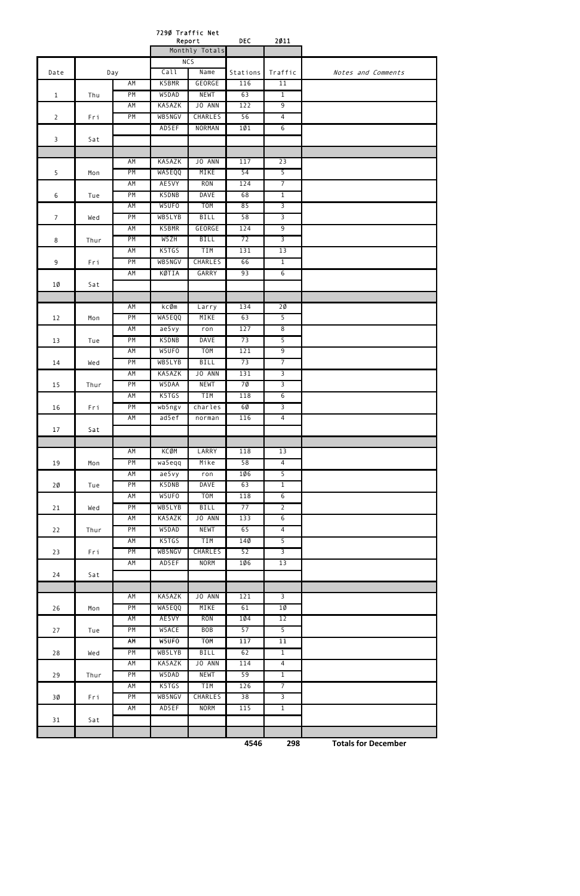| 2011<br>Report<br>DEC<br>Monthly Totals<br>NC <sub>5</sub>                      |                    |
|---------------------------------------------------------------------------------|--------------------|
|                                                                                 |                    |
|                                                                                 |                    |
| Call<br>Name<br>Stations<br>Traffic<br>Date<br>Day                              | Notes and Comments |
| K5BMR<br>GEORGE<br>11<br><b>AM</b><br>116                                       |                    |
| PM<br>W5DAD<br><b>NEWT</b><br>63<br>$\overline{1}$<br>$\mathbf{1}$<br>Thu       |                    |
| JO ANN<br>$\overline{9}$<br>AM<br>KA5AZK<br>122                                 |                    |
| PM<br>WB5NGV<br><b>CHARLES</b><br>56<br>$\overline{4}$<br>$\overline{2}$<br>Fri |                    |
| $\overline{6}$<br>AD5EF<br><b>NORMAN</b><br>101                                 |                    |
| 3<br>Sat                                                                        |                    |
|                                                                                 |                    |
| JO ANN<br>23<br>AM<br>KA5AZK<br>117                                             |                    |
| PM<br>$\overline{5}$<br>WA5EQQ<br>MIKE<br>54<br>5<br>Mon                        |                    |
| AM<br>AE5VY<br><b>RON</b><br>$\overline{7}$<br>124                              |                    |
| PM<br><b>DAVE</b><br>K5DNB<br>68<br>$\overline{1}$<br>6<br>Tue                  |                    |
| W5UFO<br>T <sub>O</sub> M<br>85<br>$\overline{3}$<br>AM                         |                    |
| $\overline{3}$<br>PM<br>WB5LYB<br><b>BILL</b><br>58<br>$\overline{7}$<br>Wed    |                    |
| GEORGE<br>$\overline{9}$<br>AM<br>K5BMR<br>124                                  |                    |
| PM<br>W5ZH<br><b>BILL</b><br>72<br>$\overline{3}$<br>8<br>Thur                  |                    |
| <b>TIM</b><br>AM<br>K5TGS<br>131<br>13                                          |                    |
| PM<br><b>CHARLES</b><br>$\overline{1}$<br>WB5NGV<br>66<br>9<br>Fri              |                    |
| 6<br>AM<br>KØTIA<br>GARRY<br>93                                                 |                    |
| 1Ø<br>Sat                                                                       |                    |
|                                                                                 |                    |
| AM<br>kcØm<br>20<br>Larry<br>134                                                |                    |
| PM<br>MIKE<br>$\overline{5}$<br>WA5EQQ<br>63<br>12<br>Mon                       |                    |
| $\overline{8}$<br>AM<br>ae5vy<br>127<br>ron                                     |                    |
| $\overline{5}$<br>PM<br>K5DNB<br><b>DAVE</b><br>73<br>13<br>Tue                 |                    |
| $\overline{9}$<br>AM<br>W5UFO<br>T <sub>O</sub> M<br>121                        |                    |
| BILL<br>PM<br>$\overline{7}$<br>WB5LYB<br>73<br>14<br>Wed                       |                    |
| KA5AZK<br>JO ANN<br>$\overline{3}$<br>AM<br>131                                 |                    |
| 7Ø<br>$\overline{3}$<br>PM<br>W5DAA<br><b>NEWT</b><br>15<br>Thur                |                    |
| K5TGS<br>TIM<br>$\overline{6}$<br>AM<br>118                                     |                    |
| $\overline{3}$<br>PM<br>wb5ngv<br>charles<br>6Ø<br>16<br>Fri                    |                    |
| $\overline{4}$<br>AM<br>ad5ef<br>116<br>norman                                  |                    |
| 17<br>Sat                                                                       |                    |
|                                                                                 |                    |
| AM<br>KCØM<br>LARRY<br>118<br>13                                                |                    |
| PM<br>Mike<br>58<br>$\overline{4}$<br>wa5eqq<br>19<br>Mon                       |                    |
| $\overline{5}$<br>AM<br>a e 5 v y<br>1Ø6<br>ron                                 |                    |
| PM<br>K5DNB<br><b>DAVE</b><br>$\overline{1}$<br>63<br>$20 \theta$<br>Tue        |                    |
| W5UF0<br><b>TOM</b><br>$6\overline{6}$<br>AM<br>118                             |                    |
| <b>PM</b><br>WB5LYB<br><b>BILL</b><br>77<br>$\overline{2}$<br>21<br>Wed         |                    |
| KA5AZK<br>JO ANN<br>AM<br>133<br>$6\overline{6}$                                |                    |
| <b>NEWT</b><br>65<br>PM<br>W5DAD<br>$\overline{4}$<br>22<br>Thur                |                    |
| 5 <sup>2</sup><br>K5TGS<br>TIM<br>14Ø<br>AM                                     |                    |
| $\overline{3}$<br>PM<br>WB5NGV<br><b>CHARLES</b><br>52<br>23<br>Fri             |                    |
| AD5EF<br><b>NORM</b><br>13<br>AM<br>106                                         |                    |
| 24<br>Sat                                                                       |                    |
|                                                                                 |                    |
| JO ANN<br>AM<br>KA5AZK<br>121<br>$\overline{3}$                                 |                    |
| $10 \,$<br>PM<br>WA5EQQ<br>MIKE<br>61<br>26<br>Mon                              |                    |
| AE5VY<br><b>RON</b><br>1Ø4<br>12<br>AM                                          |                    |
| W5ACE<br><b>BOB</b><br>57<br>$\overline{5}$<br>PM<br>27<br>Tue                  |                    |
| W5UFO<br><b>TOM</b><br>11<br>AM<br>117                                          |                    |
| <b>PM</b><br>WB5LYB<br><b>BILL</b><br>62<br>$\overline{1}$<br>28<br>Wed         |                    |
| JO ANN<br>KA5AZK<br>AM<br>114<br>$\overline{4}$                                 |                    |
| PM<br><b>NEWT</b><br>59<br>$\overline{1}$<br>W5DAD<br>29<br>Thur                |                    |
| K5TGS<br><b>TIM</b><br>126<br>$\overline{7}$<br>AM                              |                    |
| PM<br>38<br>$\overline{3}$<br>WB5NGV<br><b>CHARLES</b><br>3Ø<br>Fri             |                    |
| 115<br>$\overline{1}$<br>AM<br>AD5EF<br><b>NORM</b>                             |                    |
| 31<br>Sat                                                                       |                    |
|                                                                                 |                    |

**4546 298 Totals for December**